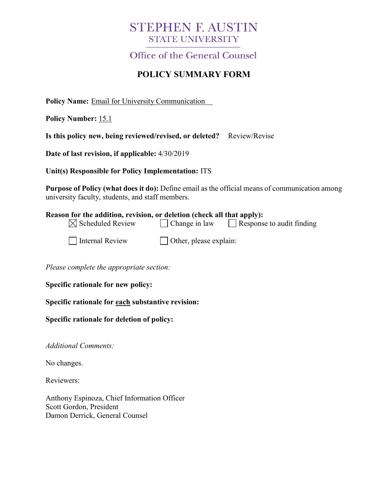# **STEPHEN F. AUSTIN STATE UNIVERSITY**

**Office of the General Counsel** 

## **POLICY SUMMARY FORM**

**Policy Name:** Email for University Communication

**Policy Number:** 15.1

| Is this policy new, being reviewed/revised, or deleted? Review/Revise |  |  |
|-----------------------------------------------------------------------|--|--|
|-----------------------------------------------------------------------|--|--|

**Date of last revision, if applicable:** 4/30/2019

**Unit(s) Responsible for Policy Implementation:** ITS

**Purpose of Policy (what does it do):** Define email as the official means of communication among university faculty, students, and staff members.

#### **Reason for the addition, revision, or deletion (check all that apply):**  $\boxtimes$  Scheduled Review  $\Box$  Change in law  $\Box$  Response to audit finding

| xeview | ∣ ∪na |
|--------|-------|
|        |       |

| Internal Review |  |
|-----------------|--|
|-----------------|--|

 $\Box$  Other, please explain:

*Please complete the appropriate section:*

**Specific rationale for new policy:**

**Specific rationale for each substantive revision:**

**Specific rationale for deletion of policy:**

*Additional Comments:*

No changes.

Reviewers:

Anthony Espinoza, Chief Information Officer Scott Gordon, President Damon Derrick, General Counsel